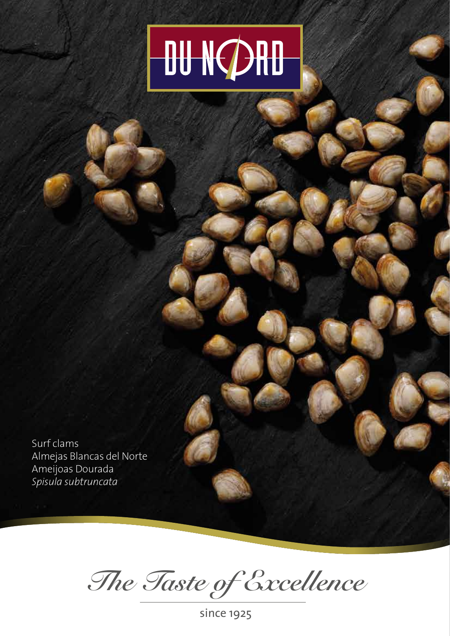## **OU NORD**

Surf clams Almejas Blancas del Norte Ameijoas Dourada *Spisula subtruncata*

*The Taste of Excellence*

since 1925